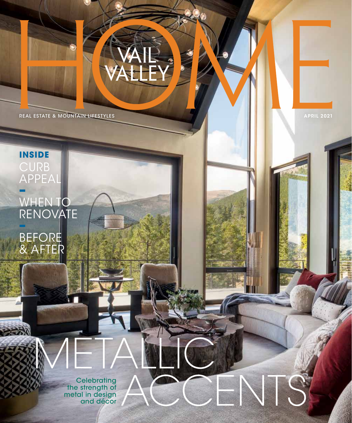REAL ESTATE & MOUNTAIN LIFESTYLES APRIL 2021

## **inside** CURB APPEAL **–** WHEN TO RENOVATE **–** BEFORE & AFTER

The strength of<br>
metal in design<br>
and décor<br>
(CCENTS the strength of metal in design and décor

METALLIC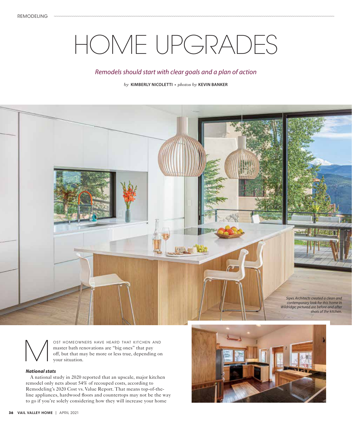# HOME UPGRADES

### *Remodels should start with clear goals and a plan of action*

*by* **KIMBERLY NICOLETTI •** *photos by* **KEVIN BANKER**



OST HOMEOWNERS HAVE HEARD THAT KITCHEN AND master bath renovations are "big ones" that pay off, but that may be more or less true, depending or your situation. master bath renovations are "big ones" that pay off, but that may be more or less true, depending on your situation.

#### *National stats*

A national study in 2020 reported that an upscale, major kitchen remodel only nets about 54% of recouped costs, according to Remodeling's 2020 Cost vs. Value Report. That means top-of-theline appliances, hardwood floors and countertops may not be the way to go if you're solely considering how they will increase your home

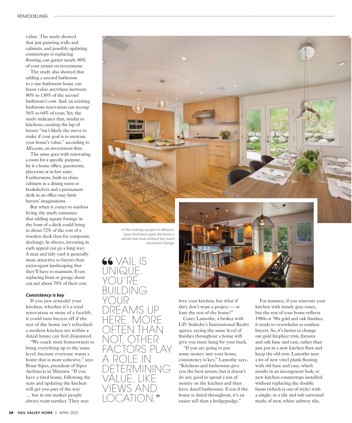value. The study showed that just painting walls and cabinets, and possibly updating countertops or replacing flooring, can garner nearly 80% of your return on investment.

The study also showed that adding a second bathroom to a one-bathroom home can boost value anywhere between 80% to 130% of the second bathroom's cost. And, an existing bathroom renovation can recoup 56% to 64% of costs. Yet, the study indicates that, similar to kitchens, creating the lap of luxury "isn't likely the move to make if your goal is to increase your home's value," according to Ally.com, an investment firm.

The same goes with renovating a room for a specific purpose, be it a home office, guestroom, playroom or in-law suite. Furthermore, built-in china cabinets in a dining room or bookshelves and a permanent desk in an office may limit buyers' imaginations.

But when it comes to outdoor living, the study estimates that adding square footage in the form of a deck could bring in about 72% of the cost of a wooden deck (less for composite decking). As always, investing in curb appeal can go a long way: A neat and tidy yard is generally more attractive to buyers than extravagant landscaping that they'll have to maintain. Even replacing front or garage doors can net about 70% of their cost.

#### *Consistency is key*

If you just remodel your kitchen, whether it's a total renovation or more of a facelift, it could turn buyers off if the rest of the home isn't refreshed: a modern kitchen set within a dated home can feel disjointed.

"We coach most homeowners to bring everything up to the same level, because everyone wants a home that is more cohesive," says Brian Sipes, president of Sipes Architects in Minturn. "If you have a tired home, following the stats and updating the kitchen will get you part of the way … but in our market people always want turnkey. They may

*Sipes Architects gave the home a whole new look without too much structural change.*



love your kitchen, but what if they don't want a project — or hate the rest of the home?"

Corey Lamothe, a broker with LIV Sotheby's International Realty agrees, saying the same level of finishes throughout a home will give you more bang for your buck.

"If you are going to put some money into your home, consistency is key," Lamothe says. "Kitchens and bathrooms give you the best return, but it doesn't do any good to spend a ton of money on the kitchen and then have dated bathrooms. Even if the home is dated throughout, it's an easier sell than a hodgepodge."

For instance, if you renovate your kitchen with trendy gray tones, but the rest of your home reflects 1980s or '90s gold and oak finishes, it tends to overwhelm or confuse buyers. So, it's better to change out gold fireplace trim, fixtures and oak base and case, rather than just put in a new kitchen floor and keep the old trim. Lamothe sees a lot of new vinyl plank flooring with old base and case, which results in an incongruent look; or new kitchen countertops installed without replacing the double basin (which is out of style) with a single; or a tile and tub surround made of new, white subway tile,